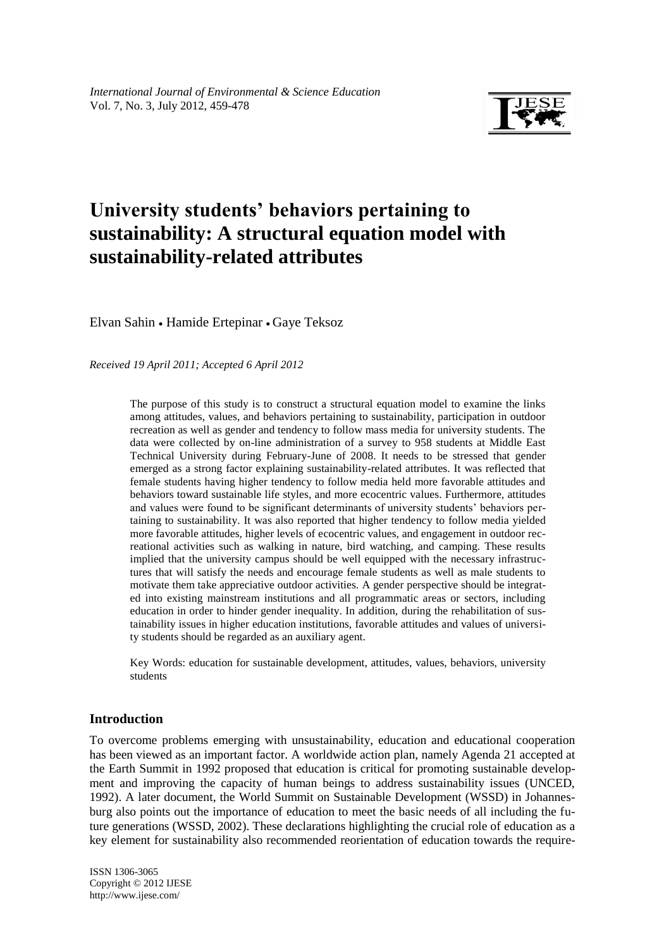

# **University students' behaviors pertaining to sustainability: A structural equation model with sustainability-related attributes**

Elvan Sahin • Hamide Ertepinar • Gaye Teksoz

*Received 19 April 2011; Accepted 6 April 2012*

The purpose of this study is to construct a structural equation model to examine the links among attitudes, values, and behaviors pertaining to sustainability, participation in outdoor recreation as well as gender and tendency to follow mass media for university students. The data were collected by on-line administration of a survey to 958 students at Middle East Technical University during February-June of 2008. It needs to be stressed that gender emerged as a strong factor explaining sustainability-related attributes. It was reflected that female students having higher tendency to follow media held more favorable attitudes and behaviors toward sustainable life styles, and more ecocentric values. Furthermore, attitudes and values were found to be significant determinants of university students' behaviors pertaining to sustainability. It was also reported that higher tendency to follow media yielded more favorable attitudes, higher levels of ecocentric values, and engagement in outdoor recreational activities such as walking in nature, bird watching, and camping. These results implied that the university campus should be well equipped with the necessary infrastructures that will satisfy the needs and encourage female students as well as male students to motivate them take appreciative outdoor activities. A gender perspective should be integrated into existing mainstream institutions and all programmatic areas or sectors, including education in order to hinder gender inequality. In addition, during the rehabilitation of sustainability issues in higher education institutions, favorable attitudes and values of university students should be regarded as an auxiliary agent.

Key Words: education for sustainable development, attitudes, values, behaviors, university students

## **Introduction**

To overcome problems emerging with unsustainability, education and educational cooperation has been viewed as an important factor. A worldwide action plan, namely Agenda 21 accepted at the Earth Summit in 1992 proposed that education is critical for promoting sustainable development and improving the capacity of human beings to address sustainability issues (UNCED, 1992). A later document, the World Summit on Sustainable Development (WSSD) in Johannesburg also points out the importance of education to meet the basic needs of all including the future generations (WSSD, 2002). These declarations highlighting the crucial role of education as a key element for sustainability also recommended reorientation of education towards the require-

ISSN 1306-3065 Copyright © 2012 IJESE <http://www.ijese.com/>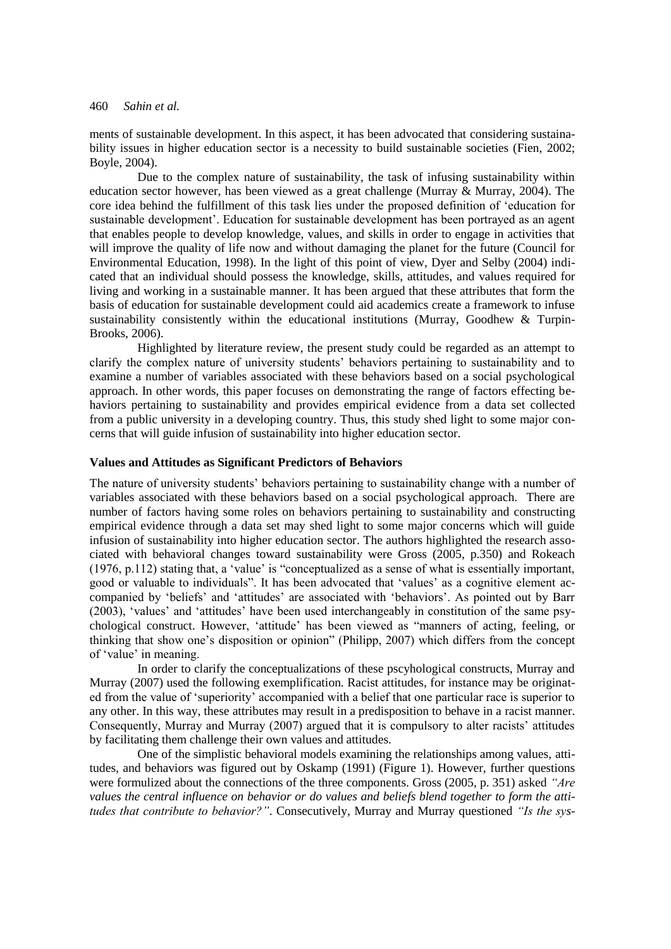ments of sustainable development. In this aspect, it has been advocated that considering sustainability issues in higher education sector is a necessity to build sustainable societies (Fien, 2002; Boyle, 2004).

Due to the complex nature of sustainability, the task of infusing sustainability within education sector however, has been viewed as a great challenge (Murray & Murray, 2004). The core idea behind the fulfillment of this task lies under the proposed definition of 'education for sustainable development'. Education for sustainable development has been portrayed as an agent that enables people to develop knowledge, values, and skills in order to engage in activities that will improve the quality of life now and without damaging the planet for the future (Council for Environmental Education, 1998). In the light of this point of view, Dyer and Selby (2004) indicated that an individual should possess the knowledge, skills, attitudes, and values required for living and working in a sustainable manner. It has been argued that these attributes that form the basis of education for sustainable development could aid academics create a framework to infuse sustainability consistently within the educational institutions (Murray, Goodhew  $\&$  Turpin-Brooks, 2006).

Highlighted by literature review, the present study could be regarded as an attempt to clarify the complex nature of university students' behaviors pertaining to sustainability and to examine a number of variables associated with these behaviors based on a social psychological approach. In other words, this paper focuses on demonstrating the range of factors effecting behaviors pertaining to sustainability and provides empirical evidence from a data set collected from a public university in a developing country. Thus, this study shed light to some major concerns that will guide infusion of sustainability into higher education sector.

### **Values and Attitudes as Significant Predictors of Behaviors**

The nature of university students' behaviors pertaining to sustainability change with a number of variables associated with these behaviors based on a social psychological approach. There are number of factors having some roles on behaviors pertaining to sustainability and constructing empirical evidence through a data set may shed light to some major concerns which will guide infusion of sustainability into higher education sector. The authors highlighted the research associated with behavioral changes toward sustainability were Gross (2005, p.350) and Rokeach (1976, p.112) stating that, a 'value' is "conceptualized as a sense of what is essentially important, good or valuable to individuals". It has been advocated that 'values' as a cognitive element accompanied by 'beliefs' and 'attitudes' are associated with 'behaviors'. As pointed out by Barr (2003), 'values' and 'attitudes' have been used interchangeably in constitution of the same psychological construct. However, 'attitude' has been viewed as "manners of acting, feeling, or thinking that show one's disposition or opinion" (Philipp, 2007) which differs from the concept of 'value' in meaning.

In order to clarify the conceptualizations of these pscyhological constructs, Murray and Murray (2007) used the following exemplification. Racist attitudes, for instance may be originated from the value of 'superiority' accompanied with a belief that one particular race is superior to any other. In this way, these attributes may result in a predisposition to behave in a racist manner. Consequently, Murray and Murray (2007) argued that it is compulsory to alter racists' attitudes by facilitating them challenge their own values and attitudes.

One of the simplistic behavioral models examining the relationships among values, attitudes, and behaviors was figured out by Oskamp (1991) (Figure 1). However, further questions were formulized about the connections of the three components. Gross (2005, p. 351) asked *"Are values the central influence on behavior or do values and beliefs blend together to form the attitudes that contribute to behavior?"*. Consecutively, Murray and Murray questioned *"Is the sys-*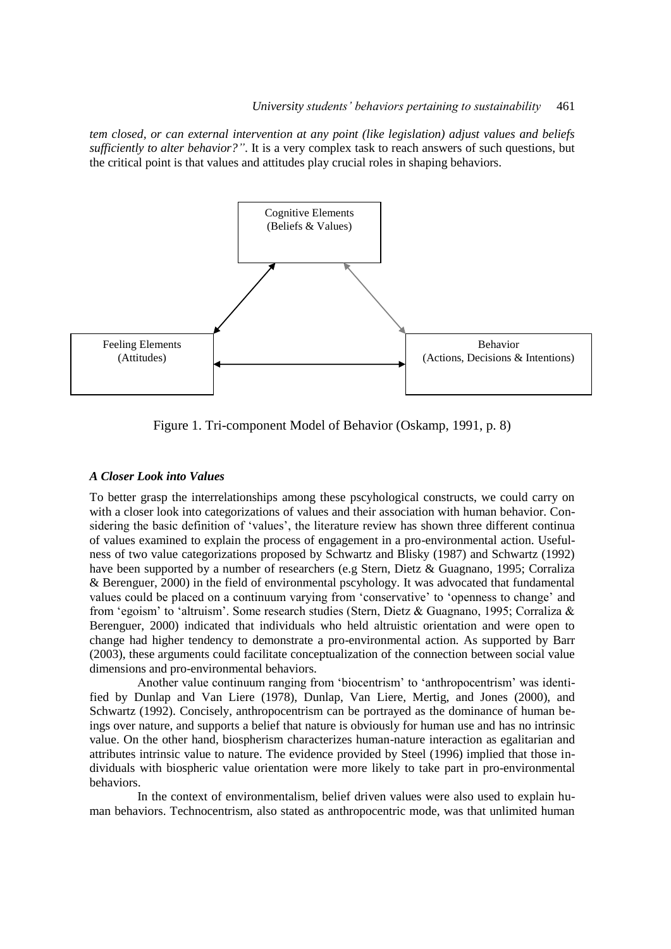*tem closed, or can external intervention at any point (like legislation) adjust values and beliefs sufficiently to alter behavior?"*. It is a very complex task to reach answers of such questions, but the critical point is that values and attitudes play crucial roles in shaping behaviors.



Figure 1. Tri-component Model of Behavior (Oskamp, 1991, p. 8)

### *A Closer Look into Values*

To better grasp the interrelationships among these pscyhological constructs, we could carry on with a closer look into categorizations of values and their association with human behavior. Considering the basic definition of 'values', the literature review has shown three different continua of values examined to explain the process of engagement in a pro-environmental action. Usefulness of two value categorizations proposed by Schwartz and Blisky (1987) and Schwartz (1992) have been supported by a number of researchers (e.g Stern, Dietz & Guagnano, 1995; Corraliza & Berenguer, 2000) in the field of environmental pscyhology. It was advocated that fundamental values could be placed on a continuum varying from 'conservative' to 'openness to change' and from 'egoism' to 'altruism'. Some research studies (Stern, Dietz & Guagnano, 1995; Corraliza & Berenguer, 2000) indicated that individuals who held altruistic orientation and were open to change had higher tendency to demonstrate a pro-environmental action. As supported by Barr (2003), these arguments could facilitate conceptualization of the connection between social value dimensions and pro-environmental behaviors.

Another value continuum ranging from 'biocentrism' to 'anthropocentrism' was identified by Dunlap and Van Liere (1978), Dunlap, Van Liere, Mertig, and Jones (2000), and Schwartz (1992). Concisely, anthropocentrism can be portrayed as the dominance of human beings over nature, and supports a belief that nature is obviously for human use and has no intrinsic value. On the other hand, biospherism characterizes human-nature interaction as egalitarian and attributes intrinsic value to nature. The evidence provided by Steel (1996) implied that those individuals with biospheric value orientation were more likely to take part in pro-environmental behaviors.

In the context of environmentalism, belief driven values were also used to explain human behaviors. Technocentrism, also stated as anthropocentric mode, was that unlimited human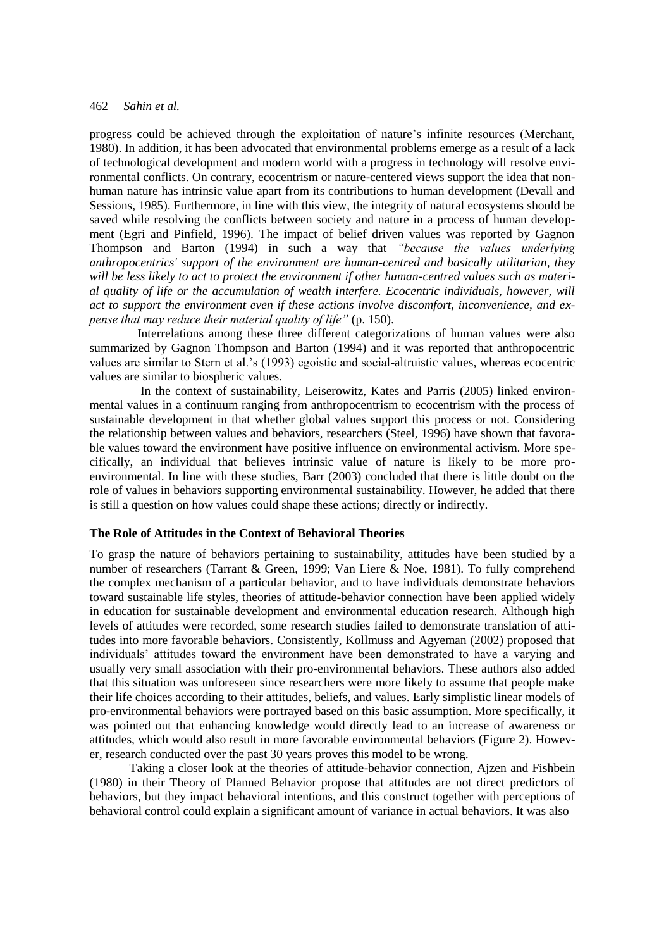progress could be achieved through the exploitation of nature's infinite resources (Merchant, 1980). In addition, it has been advocated that environmental problems emerge as a result of a lack of technological development and modern world with a progress in technology will resolve environmental conflicts. On contrary, ecocentrism or nature-centered views support the idea that nonhuman nature has intrinsic value apart from its contributions to human development (Devall and Sessions, 1985). Furthermore, in line with this view, the integrity of natural ecosystems should be saved while resolving the conflicts between society and nature in a process of human development (Egri and Pinfield, 1996). The impact of belief driven values was reported by Gagnon Thompson and Barton (1994) in such a way that *"because the values underlying anthropocentrics' support of the environment are human-centred and basically utilitarian, they will be less likely to act to protect the environment if other human-centred values such as material quality of life or the accumulation of wealth interfere. Ecocentric individuals, however, will act to support the environment even if these actions involve discomfort, inconvenience, and expense that may reduce their material quality of life"* (p. 150).

Interrelations among these three different categorizations of human values were also summarized by Gagnon Thompson and Barton (1994) and it was reported that anthropocentric values are similar to Stern et al.'s (1993) egoistic and social-altruistic values, whereas ecocentric values are similar to biospheric values.

In the context of sustainability, Leiserowitz, Kates and Parris (2005) linked environmental values in a continuum ranging from anthropocentrism to ecocentrism with the process of sustainable development in that whether global values support this process or not. Considering the relationship between values and behaviors, researchers (Steel, 1996) have shown that favorable values toward the environment have positive influence on environmental activism. More specifically, an individual that believes intrinsic value of nature is likely to be more proenvironmental. In line with these studies, Barr (2003) concluded that there is little doubt on the role of values in behaviors supporting environmental sustainability. However, he added that there is still a question on how values could shape these actions; directly or indirectly.

#### **The Role of Attitudes in the Context of Behavioral Theories**

To grasp the nature of behaviors pertaining to sustainability, attitudes have been studied by a number of researchers (Tarrant & Green, 1999; Van Liere & Noe, 1981). To fully comprehend the complex mechanism of a particular behavior, and to have individuals demonstrate behaviors toward sustainable life styles, theories of attitude-behavior connection have been applied widely in education for sustainable development and environmental education research. Although high levels of attitudes were recorded, some research studies failed to demonstrate translation of attitudes into more favorable behaviors. Consistently, Kollmuss and Agyeman (2002) proposed that individuals' attitudes toward the environment have been demonstrated to have a varying and usually very small association with their pro-environmental behaviors. These authors also added that this situation was unforeseen since researchers were more likely to assume that people make their life choices according to their attitudes, beliefs, and values. Early simplistic linear models of pro-environmental behaviors were portrayed based on this basic assumption. More specifically, it was pointed out that enhancing knowledge would directly lead to an increase of awareness or attitudes, which would also result in more favorable environmental behaviors (Figure 2). However, research conducted over the past 30 years proves this model to be wrong.

Taking a closer look at the theories of attitude-behavior connection, Ajzen and Fishbein (1980) in their Theory of Planned Behavior propose that attitudes are not direct predictors of behaviors, but they impact behavioral intentions, and this construct together with perceptions of behavioral control could explain a significant amount of variance in actual behaviors. It was also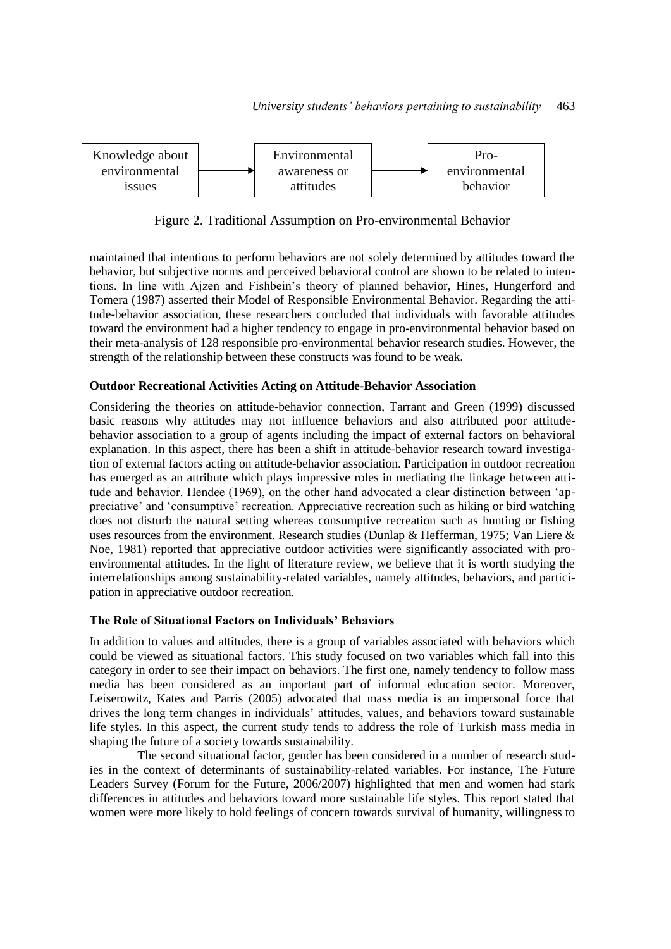

Figure 2. Traditional Assumption on Pro-environmental Behavior

maintained that intentions to perform behaviors are not solely determined by attitudes toward the behavior, but subjective norms and perceived behavioral control are shown to be related to intentions. In line with Ajzen and Fishbein's theory of planned behavior, Hines, Hungerford and Tomera (1987) asserted their Model of Responsible Environmental Behavior. Regarding the attitude-behavior association, these researchers concluded that individuals with favorable attitudes toward the environment had a higher tendency to engage in pro-environmental behavior based on their meta-analysis of 128 responsible pro-environmental behavior research studies. However, the strength of the relationship between these constructs was found to be weak.

## **Outdoor Recreational Activities Acting on Attitude-Behavior Association**

Considering the theories on attitude-behavior connection, Tarrant and Green (1999) discussed basic reasons why attitudes may not influence behaviors and also attributed poor attitudebehavior association to a group of agents including the impact of external factors on behavioral explanation. In this aspect, there has been a shift in attitude-behavior research toward investigation of external factors acting on attitude-behavior association. Participation in outdoor recreation has emerged as an attribute which plays impressive roles in mediating the linkage between attitude and behavior. Hendee (1969), on the other hand advocated a clear distinction between 'appreciative' and 'consumptive' recreation. Appreciative recreation such as hiking or bird watching does not disturb the natural setting whereas consumptive recreation such as hunting or fishing uses resources from the environment. Research studies (Dunlap & Hefferman, 1975; Van Liere & Noe, 1981) reported that appreciative outdoor activities were significantly associated with proenvironmental attitudes. In the light of literature review, we believe that it is worth studying the interrelationships among sustainability-related variables, namely attitudes, behaviors, and participation in appreciative outdoor recreation.

## **The Role of Situational Factors on Individuals' Behaviors**

In addition to values and attitudes, there is a group of variables associated with behaviors which could be viewed as situational factors. This study focused on two variables which fall into this category in order to see their impact on behaviors. The first one, namely tendency to follow mass media has been considered as an important part of informal education sector. Moreover, Leiserowitz, Kates and Parris (2005) advocated that mass media is an impersonal force that drives the long term changes in individuals' attitudes, values, and behaviors toward sustainable life styles. In this aspect, the current study tends to address the role of Turkish mass media in shaping the future of a society towards sustainability.

The second situational factor, gender has been considered in a number of research studies in the context of determinants of sustainability-related variables. For instance, The Future Leaders Survey (Forum for the Future, 2006/2007) highlighted that men and women had stark differences in attitudes and behaviors toward more sustainable life styles. This report stated that women were more likely to hold feelings of concern towards survival of humanity, willingness to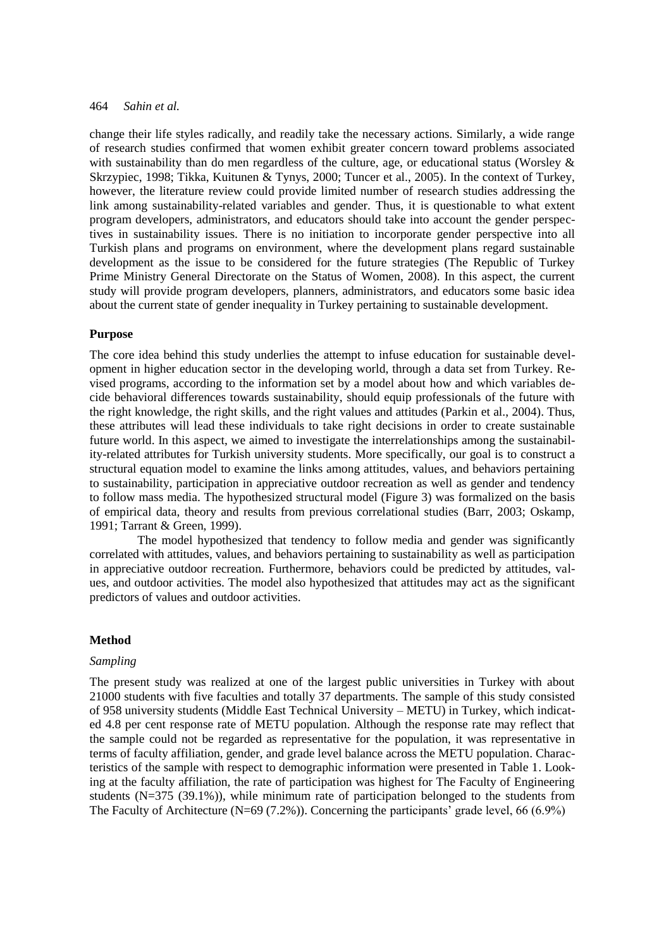change their life styles radically, and readily take the necessary actions. Similarly, a wide range of research studies confirmed that women exhibit greater concern toward problems associated with sustainability than do men regardless of the culture, age, or educational status (Worsley  $\&$ Skrzypiec, 1998; Tikka, Kuitunen & Tynys, 2000; Tuncer et al., 2005). In the context of Turkey, however, the literature review could provide limited number of research studies addressing the link among sustainability-related variables and gender. Thus, it is questionable to what extent program developers, administrators, and educators should take into account the gender perspectives in sustainability issues. There is no initiation to incorporate gender perspective into all Turkish plans and programs on environment, where the development plans regard sustainable development as the issue to be considered for the future strategies (The Republic of Turkey Prime Ministry General Directorate on the Status of Women, 2008). In this aspect, the current study will provide program developers, planners, administrators, and educators some basic idea about the current state of gender inequality in Turkey pertaining to sustainable development.

#### **Purpose**

The core idea behind this study underlies the attempt to infuse education for sustainable development in higher education sector in the developing world, through a data set from Turkey. Revised programs, according to the information set by a model about how and which variables decide behavioral differences towards sustainability, should equip professionals of the future with the right knowledge, the right skills, and the right values and attitudes (Parkin et al., 2004). Thus, these attributes will lead these individuals to take right decisions in order to create sustainable future world. In this aspect, we aimed to investigate the interrelationships among the sustainability-related attributes for Turkish university students. More specifically, our goal is to construct a structural equation model to examine the links among attitudes, values, and behaviors pertaining to sustainability, participation in appreciative outdoor recreation as well as gender and tendency to follow mass media. The hypothesized structural model (Figure 3) was formalized on the basis of empirical data, theory and results from previous correlational studies (Barr, 2003; Oskamp, 1991; Tarrant & Green, 1999).

The model hypothesized that tendency to follow media and gender was significantly correlated with attitudes, values, and behaviors pertaining to sustainability as well as participation in appreciative outdoor recreation. Furthermore, behaviors could be predicted by attitudes, values, and outdoor activities. The model also hypothesized that attitudes may act as the significant predictors of values and outdoor activities.

#### **Method**

#### *Sampling*

The present study was realized at one of the largest public universities in Turkey with about 21000 students with five faculties and totally 37 departments. The sample of this study consisted of 958 university students (Middle East Technical University – METU) in Turkey, which indicated 4.8 per cent response rate of METU population. Although the response rate may reflect that the sample could not be regarded as representative for the population, it was representative in terms of faculty affiliation, gender, and grade level balance across the METU population. Characteristics of the sample with respect to demographic information were presented in Table 1. Looking at the faculty affiliation, the rate of participation was highest for The Faculty of Engineering students (N=375 (39.1%)), while minimum rate of participation belonged to the students from The Faculty of Architecture (N=69 (7.2%)). Concerning the participants' grade level, 66 (6.9%)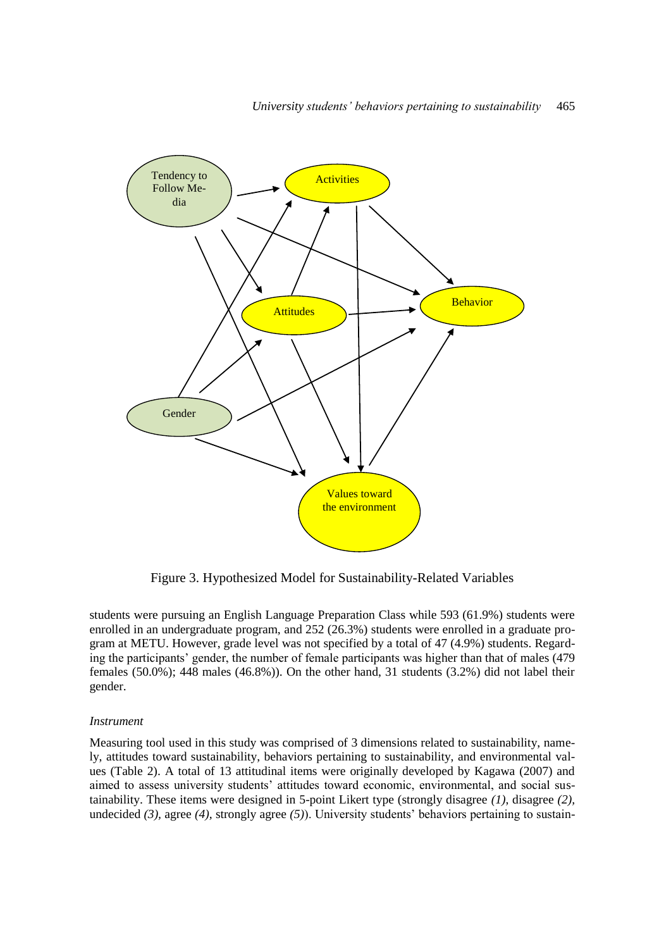

Figure 3. Hypothesized Model for Sustainability-Related Variables

students were pursuing an English Language Preparation Class while 593 (61.9%) students were enrolled in an undergraduate program, and 252 (26.3%) students were enrolled in a graduate program at METU. However, grade level was not specified by a total of 47 (4.9%) students. Regarding the participants' gender, the number of female participants was higher than that of males (479 females (50.0%); 448 males (46.8%)). On the other hand, 31 students (3.2%) did not label their gender.

#### *Instrument*

Measuring tool used in this study was comprised of 3 dimensions related to sustainability, namely, attitudes toward sustainability, behaviors pertaining to sustainability, and environmental values (Table 2). A total of 13 attitudinal items were originally developed by Kagawa (2007) and aimed to assess university students' attitudes toward economic, environmental, and social sustainability. These items were designed in 5-point Likert type (strongly disagree *(1)*, disagree *(2),*  undecided (3), agree (4), strongly agree (5)). University students' behaviors pertaining to sustain-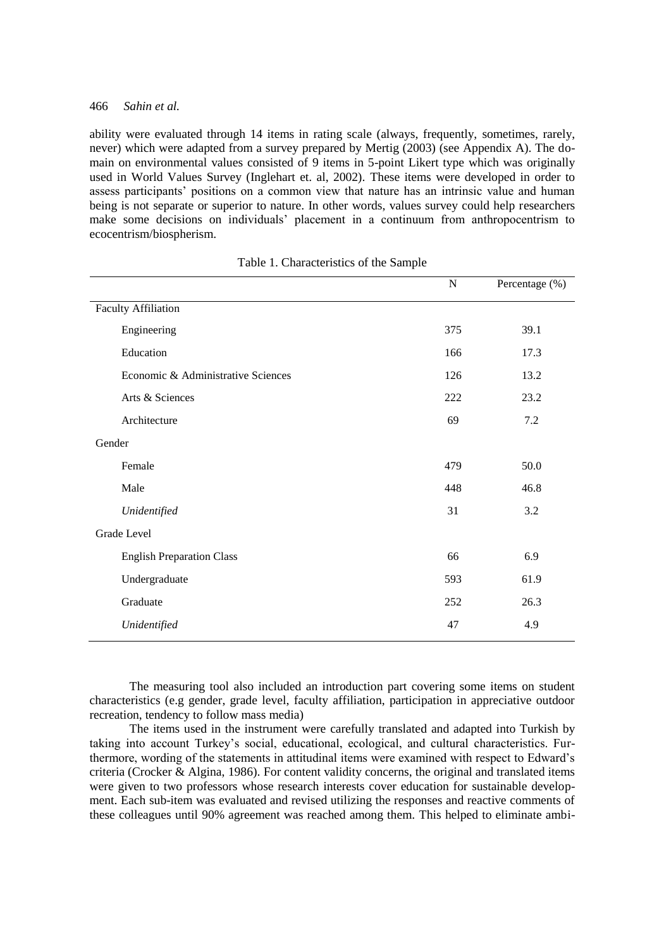ability were evaluated through 14 items in rating scale (always, frequently, sometimes, rarely, never) which were adapted from a survey prepared by Mertig (2003) (see Appendix A). The domain on environmental values consisted of 9 items in 5-point Likert type which was originally used in World Values Survey (Inglehart et. al, 2002). These items were developed in order to assess participants' positions on a common view that nature has an intrinsic value and human being is not separate or superior to nature. In other words, values survey could help researchers make some decisions on individuals' placement in a continuum from anthropocentrism to ecocentrism/biospherism.

|                                    | ${\bf N}$ | Percentage (%) |
|------------------------------------|-----------|----------------|
| <b>Faculty Affiliation</b>         |           |                |
| Engineering                        | 375       | 39.1           |
| Education                          | 166       | 17.3           |
| Economic & Administrative Sciences | 126       | 13.2           |
| Arts & Sciences                    | 222       | 23.2           |
| Architecture                       | 69        | 7.2            |
| Gender                             |           |                |
| Female                             | 479       | 50.0           |
| Male                               | 448       | 46.8           |
| Unidentified                       | 31        | 3.2            |
| Grade Level                        |           |                |
| <b>English Preparation Class</b>   | 66        | 6.9            |
| Undergraduate                      | 593       | 61.9           |
| Graduate                           | 252       | 26.3           |
| Unidentified                       | 47        | 4.9            |
|                                    |           |                |

The measuring tool also included an introduction part covering some items on student characteristics (e.g gender, grade level, faculty affiliation, participation in appreciative outdoor recreation, tendency to follow mass media)

The items used in the instrument were carefully translated and adapted into Turkish by taking into account Turkey's social, educational, ecological, and cultural characteristics. Furthermore, wording of the statements in attitudinal items were examined with respect to Edward's criteria (Crocker & Algina, 1986). For content validity concerns, the original and translated items were given to two professors whose research interests cover education for sustainable development. Each sub-item was evaluated and revised utilizing the responses and reactive comments of these colleagues until 90% agreement was reached among them. This helped to eliminate ambi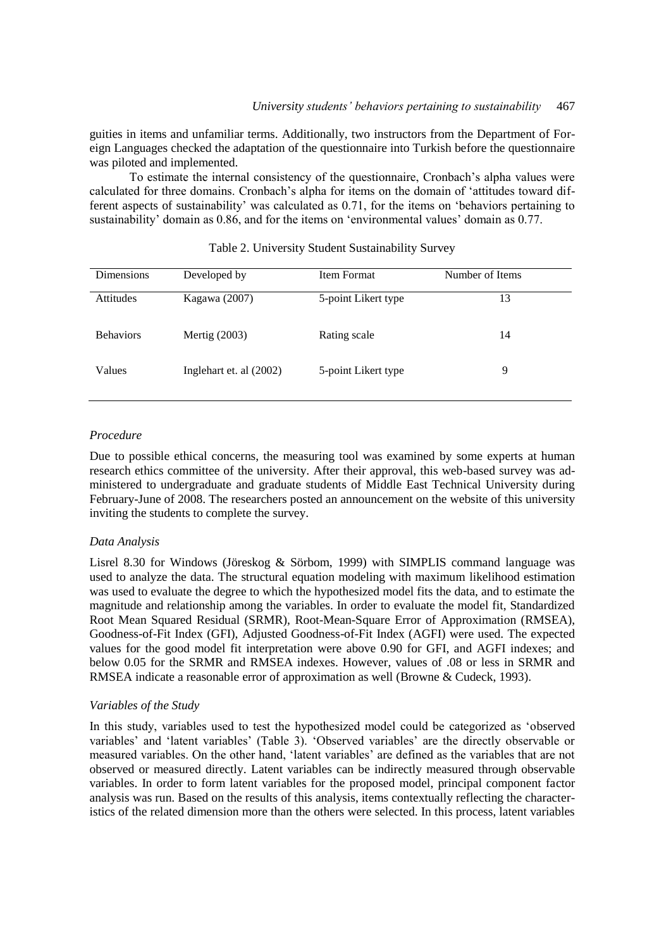guities in items and unfamiliar terms. Additionally, two instructors from the Department of Foreign Languages checked the adaptation of the questionnaire into Turkish before the questionnaire was piloted and implemented.

To estimate the internal consistency of the questionnaire, Cronbach's alpha values were calculated for three domains. Cronbach's alpha for items on the domain of 'attitudes toward different aspects of sustainability' was calculated as 0.71, for the items on 'behaviors pertaining to sustainability' domain as 0.86, and for the items on 'environmental values' domain as 0.77.

| <b>Dimensions</b> | Developed by            | Item Format         | Number of Items |
|-------------------|-------------------------|---------------------|-----------------|
| <b>Attitudes</b>  | Kagawa (2007)           | 5-point Likert type | 13              |
| <b>Behaviors</b>  | Mertig $(2003)$         | Rating scale        | 14              |
| Values            | Inglehart et. al (2002) | 5-point Likert type | 9               |

#### Table 2. University Student Sustainability Survey

## *Procedure*

Due to possible ethical concerns, the measuring tool was examined by some experts at human research ethics committee of the university. After their approval, this web-based survey was administered to undergraduate and graduate students of Middle East Technical University during February-June of 2008. The researchers posted an announcement on the website of this university inviting the students to complete the survey.

#### *Data Analysis*

Lisrel 8.30 for Windows (Jöreskog & Sörbom, 1999) with SIMPLIS command language was used to analyze the data. The structural equation modeling with maximum likelihood estimation was used to evaluate the degree to which the hypothesized model fits the data, and to estimate the magnitude and relationship among the variables. In order to evaluate the model fit, Standardized Root Mean Squared Residual (SRMR), Root-Mean-Square Error of Approximation (RMSEA), Goodness-of-Fit Index (GFI), Adjusted Goodness-of-Fit Index (AGFI) were used. The expected values for the good model fit interpretation were above 0.90 for GFI, and AGFI indexes; and below 0.05 for the SRMR and RMSEA indexes. However, values of .08 or less in SRMR and RMSEA indicate a reasonable error of approximation as well (Browne & Cudeck, 1993).

#### *Variables of the Study*

In this study, variables used to test the hypothesized model could be categorized as 'observed variables' and 'latent variables' (Table 3). 'Observed variables' are the directly observable or measured variables. On the other hand, 'latent variables' are defined as the variables that are not observed or measured directly. Latent variables can be indirectly measured through observable variables. In order to form latent variables for the proposed model, principal component factor analysis was run. Based on the results of this analysis, items contextually reflecting the characteristics of the related dimension more than the others were selected. In this process, latent variables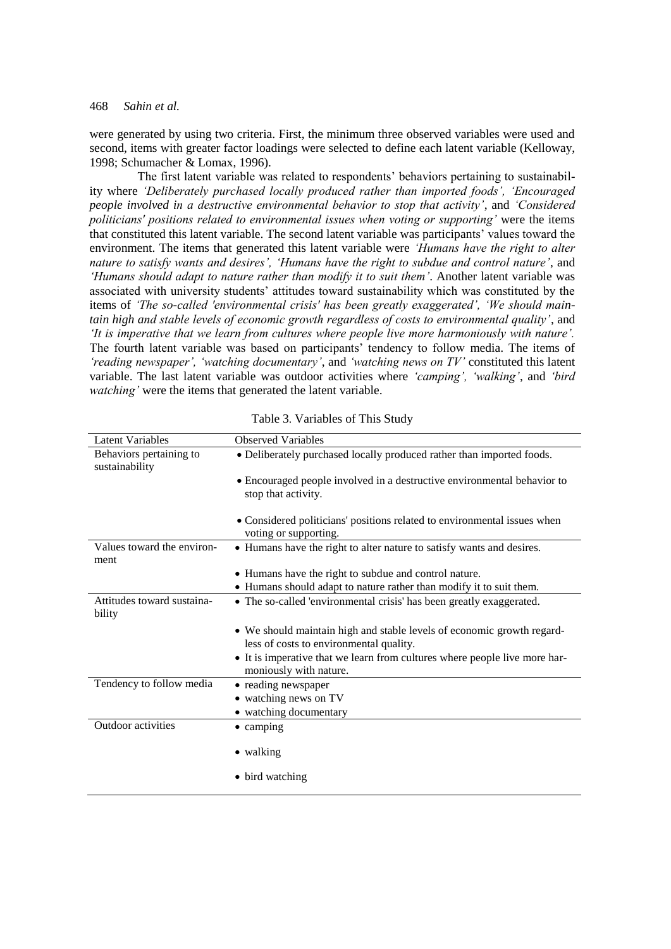were generated by using two criteria. First, the minimum three observed variables were used and second, items with greater factor loadings were selected to define each latent variable (Kelloway, 1998; Schumacher & Lomax, 1996).

The first latent variable was related to respondents' behaviors pertaining to sustainability where *'Deliberately purchased locally produced rather than imported foods', 'Encouraged people involved in a destructive environmental behavior to stop that activity'*, and *'Considered politicians' positions related to environmental issues when voting or supporting'* were the items that constituted this latent variable. The second latent variable was participants' values toward the environment. The items that generated this latent variable were *'Humans have the right to alter nature to satisfy wants and desires', 'Humans have the right to subdue and control nature'*, and *'Humans should adapt to nature rather than modify it to suit them'*. Another latent variable was associated with university students' attitudes toward sustainability which was constituted by the items of *'The so-called 'environmental crisis' has been greatly exaggerated', 'We should maintain high and stable levels of economic growth regardless of costs to environmental quality'*, and *'It is imperative that we learn from cultures where people live more harmoniously with nature'.* The fourth latent variable was based on participants' tendency to follow media. The items of *'reading newspaper', 'watching documentary'*, and *'watching news on TV'* constituted this latent variable. The last latent variable was outdoor activities where *'camping', 'walking'*, and *'bird watching'* were the items that generated the latent variable.

| <b>Latent Variables</b>                   | <b>Observed Variables</b>                                                                                         |
|-------------------------------------------|-------------------------------------------------------------------------------------------------------------------|
| Behaviors pertaining to<br>sustainability | • Deliberately purchased locally produced rather than imported foods.                                             |
|                                           | • Encouraged people involved in a destructive environmental behavior to<br>stop that activity.                    |
|                                           | • Considered politicians' positions related to environmental issues when<br>voting or supporting.                 |
| Values toward the environ-<br>ment        | • Humans have the right to alter nature to satisfy wants and desires.                                             |
|                                           | • Humans have the right to subdue and control nature.                                                             |
|                                           | • Humans should adapt to nature rather than modify it to suit them.                                               |
| Attitudes toward sustaina-<br>bility      | • The so-called 'environmental crisis' has been greatly exaggerated.                                              |
|                                           | • We should maintain high and stable levels of economic growth regard-<br>less of costs to environmental quality. |
|                                           | • It is imperative that we learn from cultures where people live more har-<br>moniously with nature.              |
| Tendency to follow media                  | • reading newspaper                                                                                               |
|                                           | • watching news on TV                                                                                             |
|                                           | • watching documentary                                                                                            |
| Outdoor activities                        | • camping                                                                                                         |
|                                           | • walking                                                                                                         |
|                                           | • bird watching                                                                                                   |

|  | Table 3. Variables of This Study |  |  |
|--|----------------------------------|--|--|
|--|----------------------------------|--|--|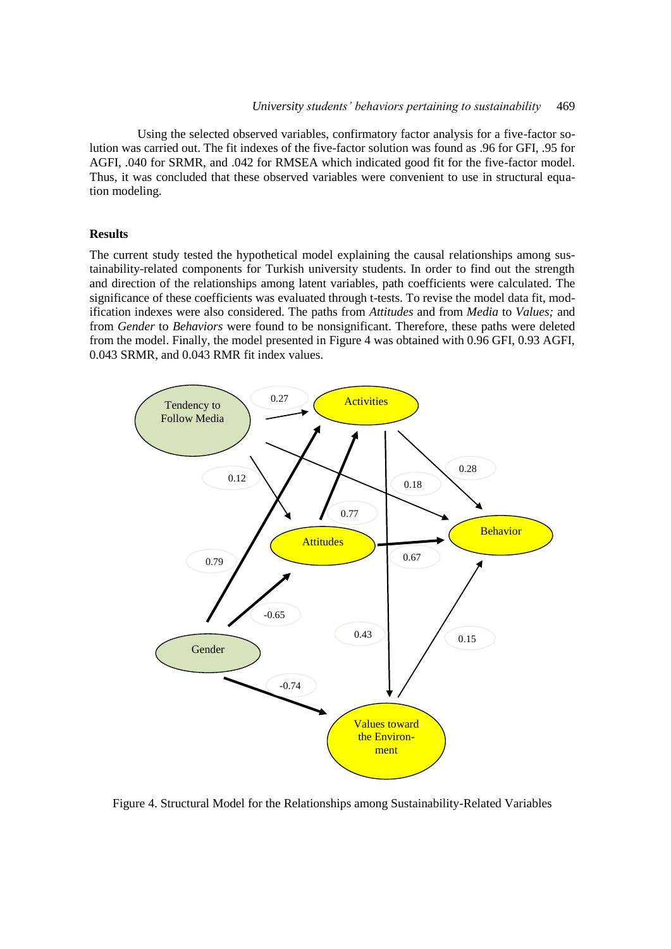Using the selected observed variables, confirmatory factor analysis for a five-factor solution was carried out. The fit indexes of the five-factor solution was found as .96 for GFI, .95 for AGFI, .040 for SRMR, and .042 for RMSEA which indicated good fit for the five-factor model. Thus, it was concluded that these observed variables were convenient to use in structural equation modeling.

## **Results**

The current study tested the hypothetical model explaining the causal relationships among sustainability-related components for Turkish university students. In order to find out the strength and direction of the relationships among latent variables, path coefficients were calculated. The significance of these coefficients was evaluated through t-tests. To revise the model data fit, modification indexes were also considered. The paths from *Attitudes* and from *Media* to *Values;* and from *Gender* to *Behaviors* were found to be nonsignificant. Therefore, these paths were deleted from the model. Finally, the model presented in Figure 4 was obtained with 0.96 GFI, 0.93 AGFI, 0.043 SRMR, and 0.043 RMR fit index values.



Figure 4. Structural Model for the Relationships among Sustainability-Related Variables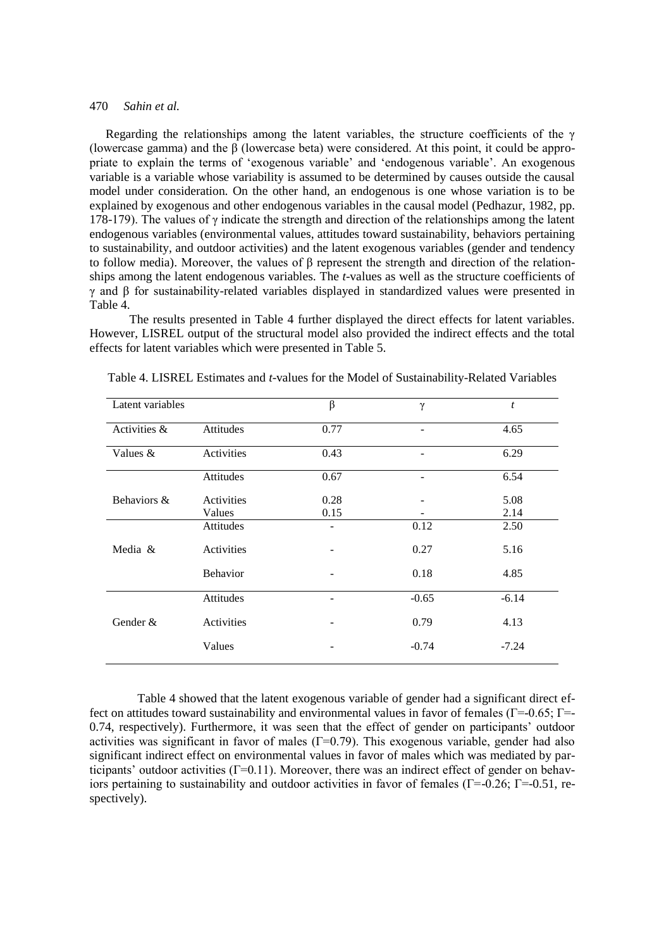Regarding the relationships among the latent variables, the structure coefficients of the  $\gamma$ (lowercase gamma) and the β (lowercase beta) were considered. At this point, it could be appropriate to explain the terms of 'exogenous variable' and 'endogenous variable'. An exogenous variable is a variable whose variability is assumed to be determined by causes outside the causal model under consideration. On the other hand, an endogenous is one whose variation is to be explained by exogenous and other endogenous variables in the causal model (Pedhazur, 1982, pp. 178-179). The values of  $\gamma$  indicate the strength and direction of the relationships among the latent endogenous variables (environmental values, attitudes toward sustainability, behaviors pertaining to sustainability, and outdoor activities) and the latent exogenous variables (gender and tendency to follow media). Moreover, the values of β represent the strength and direction of the relationships among the latent endogenous variables. The *t*-values as well as the structure coefficients of γ and β for sustainability-related variables displayed in standardized values were presented in Table 4.

The results presented in Table 4 further displayed the direct effects for latent variables. However, LISREL output of the structural model also provided the indirect effects and the total effects for latent variables which were presented in Table 5.

| Latent variables |                 | $\beta$ | γ                        | t       |
|------------------|-----------------|---------|--------------------------|---------|
| Activities &     | Attitudes       | 0.77    |                          | 4.65    |
| Values $&$       | Activities      | 0.43    | $\overline{\phantom{0}}$ | 6.29    |
|                  | Attitudes       | 0.67    |                          | 6.54    |
| Behaviors &      | Activities      | 0.28    |                          | 5.08    |
|                  | Values          | 0.15    |                          | 2.14    |
|                  | Attitudes       |         | 0.12                     | 2.50    |
| Media &          | Activities      |         | 0.27                     | 5.16    |
|                  | <b>Behavior</b> |         | 0.18                     | 4.85    |
|                  | Attitudes       | ۰       | $-0.65$                  | $-6.14$ |
| Gender &         | Activities      |         | 0.79                     | 4.13    |
|                  | Values          |         | $-0.74$                  | $-7.24$ |

Table 4. LISREL Estimates and *t*-values for the Model of Sustainability-Related Variables

Table 4 showed that the latent exogenous variable of gender had a significant direct effect on attitudes toward sustainability and environmental values in favor of females (Γ=-0.65; Γ=- 0.74, respectively). Furthermore, it was seen that the effect of gender on participants' outdoor activities was significant in favor of males (Γ=0.79). This exogenous variable, gender had also significant indirect effect on environmental values in favor of males which was mediated by participants' outdoor activities (Γ=0.11). Moreover, there was an indirect effect of gender on behaviors pertaining to sustainability and outdoor activities in favor of females ( $\Gamma = -0.26$ ;  $\Gamma = -0.51$ , respectively).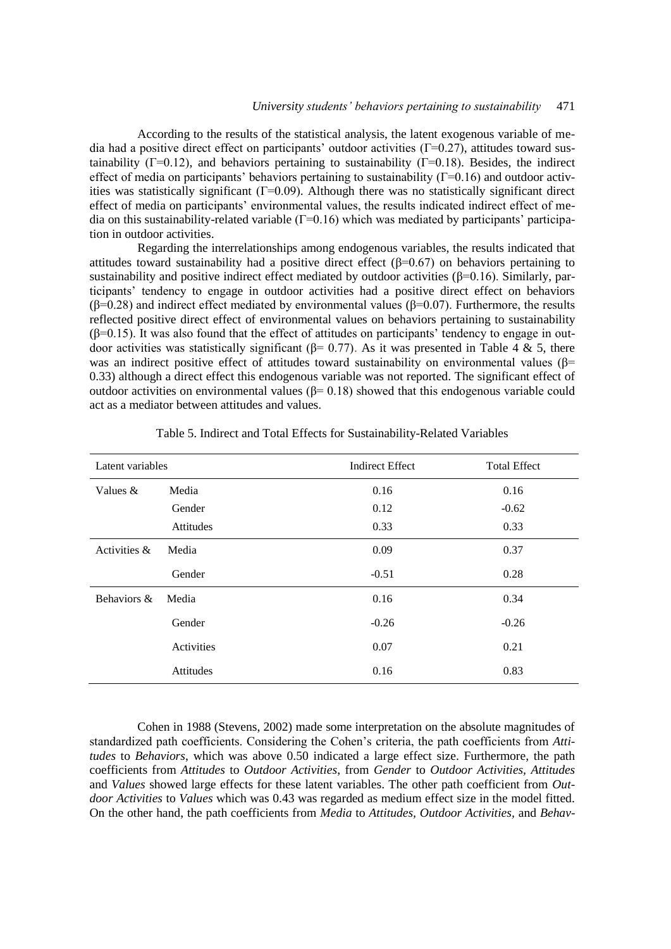According to the results of the statistical analysis, the latent exogenous variable of media had a positive direct effect on participants' outdoor activities ( $\Gamma$ =0.27), attitudes toward sustainability ( $\Gamma$ =0.12), and behaviors pertaining to sustainability ( $\Gamma$ =0.18). Besides, the indirect effect of media on participants' behaviors pertaining to sustainability  $(\Gamma = 0.16)$  and outdoor activities was statistically significant  $(\Gamma = 0.09)$ . Although there was no statistically significant direct effect of media on participants' environmental values, the results indicated indirect effect of media on this sustainability-related variable (Γ=0.16) which was mediated by participants' participation in outdoor activities.

Regarding the interrelationships among endogenous variables, the results indicated that attitudes toward sustainability had a positive direct effect (β=0.67) on behaviors pertaining to sustainability and positive indirect effect mediated by outdoor activities ( $\beta$ =0.16). Similarly, participants' tendency to engage in outdoor activities had a positive direct effect on behaviors ( $β=0.28$ ) and indirect effect mediated by environmental values ( $β=0.07$ ). Furthermore, the results reflected positive direct effect of environmental values on behaviors pertaining to sustainability  $(\beta=0.15)$ . It was also found that the effect of attitudes on participants' tendency to engage in outdoor activities was statistically significant (β= 0.77). As it was presented in Table 4 & 5, there was an indirect positive effect of attitudes toward sustainability on environmental values ( $\beta$ = 0.33) although a direct effect this endogenous variable was not reported. The significant effect of outdoor activities on environmental values  $(β= 0.18)$  showed that this endogenous variable could act as a mediator between attitudes and values.

| Latent variables |            | <b>Indirect Effect</b> | <b>Total Effect</b> |
|------------------|------------|------------------------|---------------------|
| Values &         | Media      | 0.16                   | 0.16                |
|                  | Gender     | 0.12                   | $-0.62$             |
|                  | Attitudes  | 0.33                   | 0.33                |
| Activities &     | Media      | 0.09                   | 0.37                |
|                  | Gender     | $-0.51$                | 0.28                |
| Behaviors &      | Media      | 0.16                   | 0.34                |
|                  | Gender     | $-0.26$                | $-0.26$             |
|                  | Activities | 0.07                   | 0.21                |
|                  | Attitudes  | 0.16                   | 0.83                |

Table 5. Indirect and Total Effects for Sustainability-Related Variables

Cohen in 1988 (Stevens, 2002) made some interpretation on the absolute magnitudes of standardized path coefficients. Considering the Cohen's criteria, the path coefficients from *Attitudes* to *Behaviors*, which was above 0.50 indicated a large effect size. Furthermore, the path coefficients from *Attitudes* to *Outdoor Activities*, from *Gender* to *Outdoor Activities, Attitudes* and *Values* showed large effects for these latent variables. The other path coefficient from *Outdoor Activities* to *Values* which was 0.43 was regarded as medium effect size in the model fitted. On the other hand, the path coefficients from *Media* to *Attitudes, Outdoor Activities,* and *Behav-*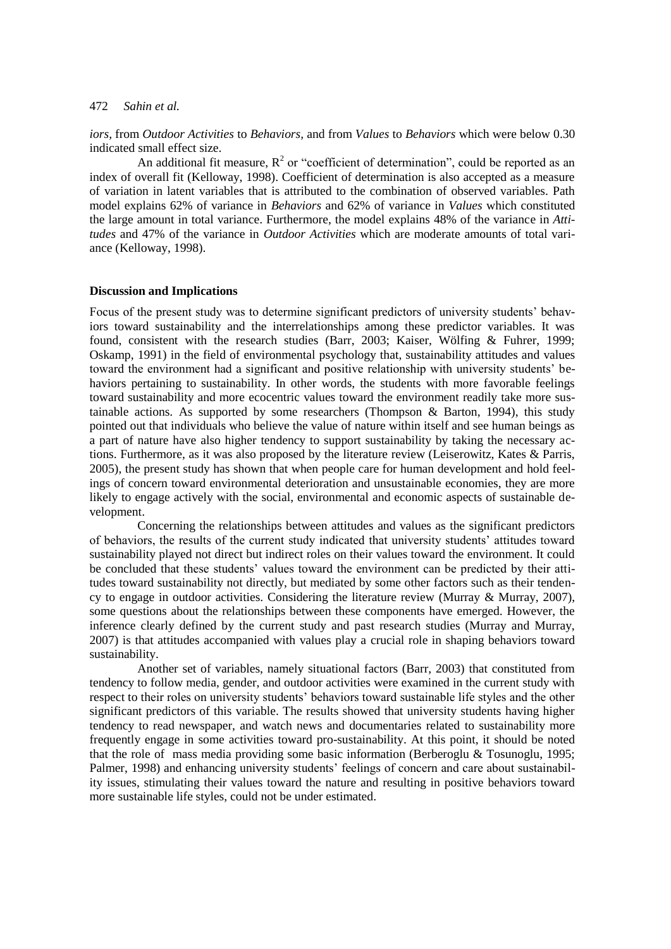*iors,* from *Outdoor Activities* to *Behaviors,* and from *Values* to *Behaviors* which were below 0.30 indicated small effect size.

An additional fit measure,  $R^2$  or "coefficient of determination", could be reported as an index of overall fit (Kelloway, 1998). Coefficient of determination is also accepted as a measure of variation in latent variables that is attributed to the combination of observed variables. Path model explains 62% of variance in *Behaviors* and 62% of variance in *Values* which constituted the large amount in total variance. Furthermore, the model explains 48% of the variance in *Attitudes* and 47% of the variance in *Outdoor Activities* which are moderate amounts of total variance (Kelloway, 1998).

#### **Discussion and Implications**

Focus of the present study was to determine significant predictors of university students' behaviors toward sustainability and the interrelationships among these predictor variables. It was found, consistent with the research studies (Barr, 2003; Kaiser, Wölfing & Fuhrer, 1999; Oskamp, 1991) in the field of environmental psychology that, sustainability attitudes and values toward the environment had a significant and positive relationship with university students' behaviors pertaining to sustainability. In other words, the students with more favorable feelings toward sustainability and more ecocentric values toward the environment readily take more sustainable actions. As supported by some researchers (Thompson  $\&$  Barton, 1994), this study pointed out that individuals who believe the value of nature within itself and see human beings as a part of nature have also higher tendency to support sustainability by taking the necessary actions. Furthermore, as it was also proposed by the literature review (Leiserowitz, Kates & Parris, 2005), the present study has shown that when people care for human development and hold feelings of concern toward environmental deterioration and unsustainable economies, they are more likely to engage actively with the social, environmental and economic aspects of sustainable development.

Concerning the relationships between attitudes and values as the significant predictors of behaviors, the results of the current study indicated that university students' attitudes toward sustainability played not direct but indirect roles on their values toward the environment. It could be concluded that these students' values toward the environment can be predicted by their attitudes toward sustainability not directly, but mediated by some other factors such as their tendency to engage in outdoor activities. Considering the literature review (Murray & Murray, 2007), some questions about the relationships between these components have emerged. However, the inference clearly defined by the current study and past research studies (Murray and Murray, 2007) is that attitudes accompanied with values play a crucial role in shaping behaviors toward sustainability.

Another set of variables, namely situational factors (Barr, 2003) that constituted from tendency to follow media, gender, and outdoor activities were examined in the current study with respect to their roles on university students' behaviors toward sustainable life styles and the other significant predictors of this variable. The results showed that university students having higher tendency to read newspaper, and watch news and documentaries related to sustainability more frequently engage in some activities toward pro-sustainability. At this point, it should be noted that the role of mass media providing some basic information (Berberoglu & Tosunoglu, 1995; Palmer, 1998) and enhancing university students' feelings of concern and care about sustainability issues, stimulating their values toward the nature and resulting in positive behaviors toward more sustainable life styles, could not be under estimated.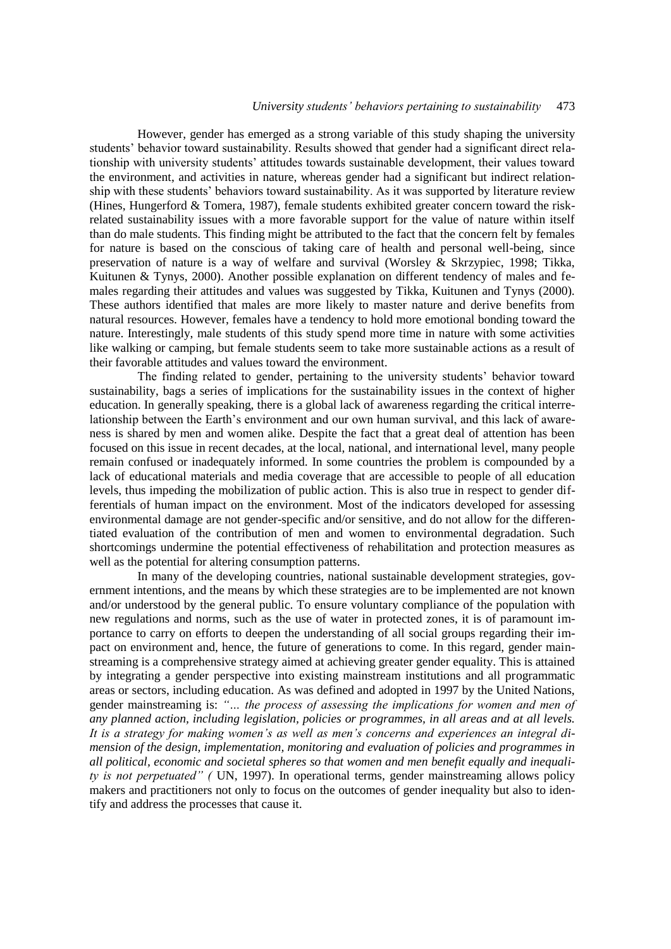## *University students' behaviors pertaining to sustainability* 473

However, gender has emerged as a strong variable of this study shaping the university students' behavior toward sustainability. Results showed that gender had a significant direct relationship with university students' attitudes towards sustainable development, their values toward the environment, and activities in nature, whereas gender had a significant but indirect relationship with these students' behaviors toward sustainability. As it was supported by literature review (Hines, Hungerford & Tomera, 1987), female students exhibited greater concern toward the riskrelated sustainability issues with a more favorable support for the value of nature within itself than do male students. This finding might be attributed to the fact that the concern felt by females for nature is based on the conscious of taking care of health and personal well-being, since preservation of nature is a way of welfare and survival (Worsley & Skrzypiec, 1998; Tikka, Kuitunen & Tynys, 2000). Another possible explanation on different tendency of males and females regarding their attitudes and values was suggested by Tikka, Kuitunen and Tynys (2000). These authors identified that males are more likely to master nature and derive benefits from natural resources. However, females have a tendency to hold more emotional bonding toward the nature. Interestingly, male students of this study spend more time in nature with some activities like walking or camping, but female students seem to take more sustainable actions as a result of their favorable attitudes and values toward the environment.

The finding related to gender, pertaining to the university students' behavior toward sustainability, bags a series of implications for the sustainability issues in the context of higher education. In generally speaking, there is a global lack of awareness regarding the critical interrelationship between the Earth's environment and our own human survival, and this lack of awareness is shared by men and women alike. Despite the fact that a great deal of attention has been focused on this issue in recent decades, at the local, national, and international level, many people remain confused or inadequately informed. In some countries the problem is compounded by a lack of educational materials and media coverage that are accessible to people of all education levels, thus impeding the mobilization of public action. This is also true in respect to gender differentials of human impact on the environment. Most of the indicators developed for assessing environmental damage are not gender-specific and/or sensitive, and do not allow for the differentiated evaluation of the contribution of men and women to environmental degradation. Such shortcomings undermine the potential effectiveness of rehabilitation and protection measures as well as the potential for altering consumption patterns.

In many of the developing countries, national sustainable development strategies, government intentions, and the means by which these strategies are to be implemented are not known and/or understood by the general public. To ensure voluntary compliance of the population with new regulations and norms, such as the use of water in protected zones, it is of paramount importance to carry on efforts to deepen the understanding of all social groups regarding their impact on environment and, hence, the future of generations to come. In this regard, gender mainstreaming is a comprehensive strategy aimed at achieving greater gender equality. This is attained by integrating a gender perspective into existing mainstream institutions and all programmatic areas or sectors, including education. As was defined and adopted in 1997 by the United Nations, gender mainstreaming is: *"… the process of assessing the implications for women and men of any planned action, including legislation, policies or programmes, in all areas and at all levels. It is a strategy for making women's as well as men's concerns and experiences an integral dimension of the design, implementation, monitoring and evaluation of policies and programmes in all political, economic and societal spheres so that women and men benefit equally and inequality is not perpetuated" (* UN, 1997). In operational terms, gender mainstreaming allows policy makers and practitioners not only to focus on the outcomes of gender inequality but also to identify and address the processes that cause it.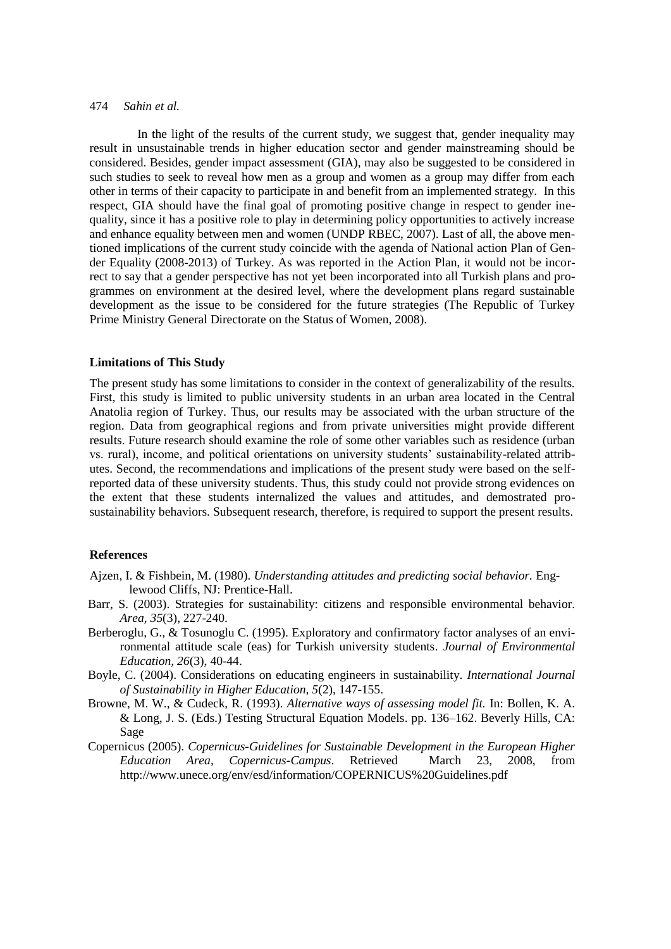In the light of the results of the current study, we suggest that, gender inequality may result in unsustainable trends in higher education sector and gender mainstreaming should be considered. Besides, gender impact assessment (GIA), may also be suggested to be considered in such studies to seek to reveal how men as a group and women as a group may differ from each other in terms of their capacity to participate in and benefit from an implemented strategy. In this respect, GIA should have the final goal of promoting positive change in respect to gender inequality, since it has a positive role to play in determining policy opportunities to actively increase and enhance equality between men and women (UNDP RBEC, 2007). Last of all, the above mentioned implications of the current study coincide with the agenda of National action Plan of Gender Equality (2008-2013) of Turkey. As was reported in the Action Plan, it would not be incorrect to say that a gender perspective has not yet been incorporated into all Turkish plans and programmes on environment at the desired level, where the development plans regard sustainable development as the issue to be considered for the future strategies (The Republic of Turkey Prime Ministry General Directorate on the Status of Women, 2008).

## **Limitations of This Study**

The present study has some limitations to consider in the context of generalizability of the results. First, this study is limited to public university students in an urban area located in the Central Anatolia region of Turkey. Thus, our results may be associated with the urban structure of the region. Data from geographical regions and from private universities might provide different results. Future research should examine the role of some other variables such as residence (urban vs. rural), income, and political orientations on university students' sustainability-related attributes. Second, the recommendations and implications of the present study were based on the selfreported data of these university students. Thus, this study could not provide strong evidences on the extent that these students internalized the values and attitudes, and demostrated prosustainability behaviors. Subsequent research, therefore, is required to support the present results.

#### **References**

- Ajzen, I. & Fishbein, M. (1980). *Understanding attitudes and predicting social behavior.* Englewood Cliffs, NJ: Prentice-Hall.
- Barr, S. (2003). Strategies for sustainability: citizens and responsible environmental behavior. *Area, 35*(3), 227-240.
- Berberoglu, G., & Tosunoglu C. (1995). Exploratory and confirmatory factor analyses of an environmental attitude scale (eas) for Turkish university students. *Journal of Environmental Education, 26*(3), 40-44.
- Boyle, C. (2004). Considerations on educating engineers in sustainability. *International Journal of Sustainability in Higher Education, 5*(2), 147-155.
- Browne, M. W., & Cudeck, R. (1993). *Alternative ways of assessing model fit.* In: Bollen, K. A. & Long, J. S. (Eds.) Testing Structural Equation Models. pp. 136–162. Beverly Hills, CA: Sage
- Copernicus (2005). *Copernicus-Guidelines for Sustainable Development in the European Higher Education Area, Copernicus-Campus*. Retrieved March 23, 2008, from http://www.unece.org/env/esd/information/COPERNICUS%20Guidelines.pdf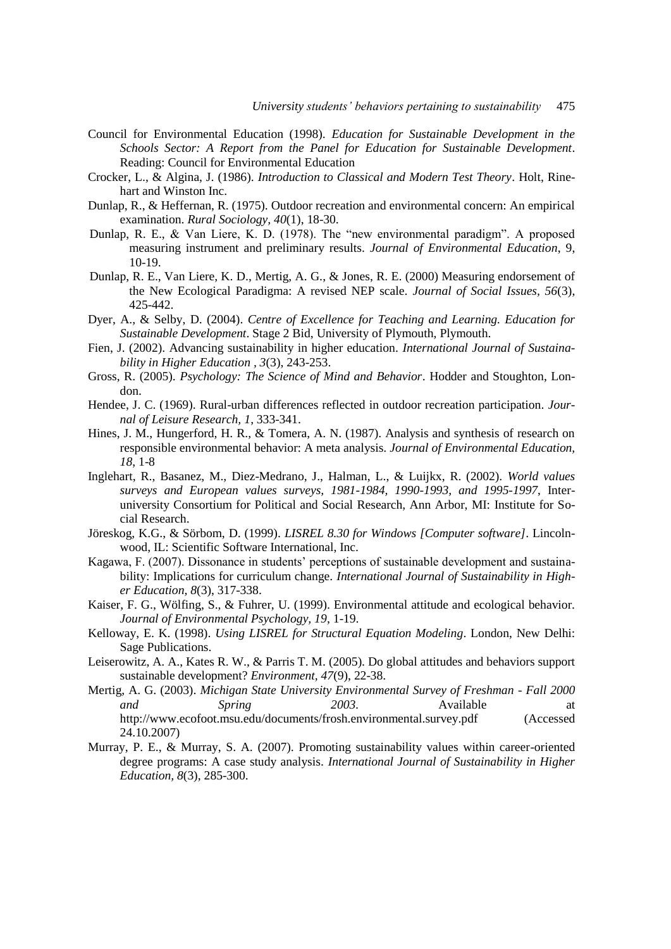- Council for Environmental Education (1998). *Education for Sustainable Development in the Schools Sector: A Report from the Panel for Education for Sustainable Development*. Reading: Council for Environmental Education
- Crocker, L., & Algina, J. (1986). *Introduction to Classical and Modern Test Theory*. Holt, Rinehart and Winston Inc.
- Dunlap, R., & Heffernan, R. (1975). Outdoor recreation and environmental concern: An empirical examination. *Rural Sociology, 40*(1), 18-30.
- Dunlap, R. E., & Van Liere, K. D. (1978). The "new environmental paradigm". A proposed measuring instrument and preliminary results. *Journal of Environmental Education*, 9, 10-19.
- Dunlap, R. E., Van Liere, K. D., Mertig, A. G., & Jones, R. E. (2000) Measuring endorsement of the New Ecological Paradigma: A revised NEP scale. *Journal of Social Issues, 56*(3), 425-442.
- Dyer, A., & Selby, D. (2004). *Centre of Excellence for Teaching and Learning. Education for Sustainable Development*. Stage 2 Bid, University of Plymouth, Plymouth.
- Fien, J. (2002). Advancing sustainability in higher education. *International Journal of Sustainability in Higher Education , 3*(3), 243-253.
- Gross, R. (2005). *Psychology: The Science of Mind and Behavior*. Hodder and Stoughton, London.
- Hendee, J. C. (1969). Rural-urban differences reflected in outdoor recreation participation. *Journal of Leisure Research, 1*, 333-341.
- Hines, J. M., Hungerford, H. R., & Tomera, A. N. (1987). Analysis and synthesis of research on responsible environmental behavior: A meta analysis*. Journal of Environmental Education, 18*, 1-8
- Inglehart, R., Basanez, M., Diez-Medrano, J., Halman, L., & Luijkx, R. (2002). *World values surveys and European values surveys, 1981-1984, 1990-1993, and 1995-1997*, Interuniversity Consortium for Political and Social Research, Ann Arbor, MI: Institute for Social Research.
- Jöreskog, K.G., & Sörbom, D. (1999). *LISREL 8.30 for Windows [Computer software]*. Lincolnwood, IL: Scientific Software International, Inc.
- Kagawa, F. (2007). Dissonance in students' perceptions of sustainable development and sustainability: Implications for curriculum change. *International Journal of Sustainability in Higher Education, 8*(3), 317-338.
- Kaiser, F. G., Wölfing, S., & Fuhrer, U. (1999). Environmental attitude and ecological behavior. *Journal of Environmental Psychology, 19*, 1-19.
- Kelloway, E. K. (1998). *Using LISREL for Structural Equation Modeling*. London, New Delhi: Sage Publications.
- Leiserowitz, A. A., Kates R. W., & Parris T. M. (2005). Do global attitudes and behaviors support sustainable development? *Environment, 47*(9), 22-38.
- Mertig, A. G. (2003). *Michigan State University Environmental Survey of Freshman - Fall 2000 and Spring 2003.* Available at http://www.ecofoot.msu.edu/documents/frosh.environmental.survey.pdf (Accessed 24.10.2007)
- Murray, P. E., & Murray, S. A. (2007). Promoting sustainability values within career-oriented degree programs: A case study analysis. *International Journal of Sustainability in Higher Education, 8*(3), 285-300.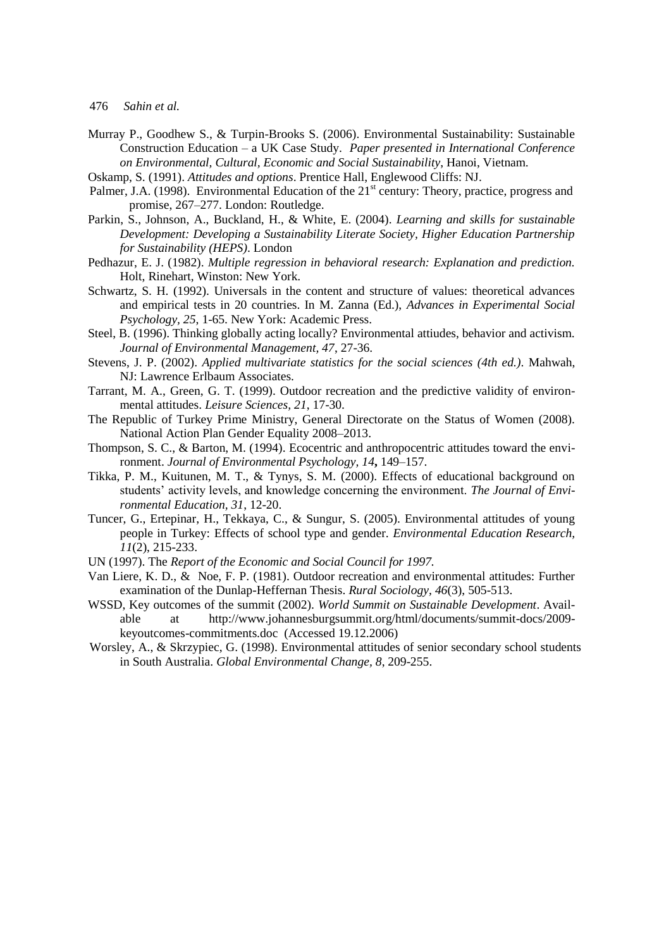- Murray P., Goodhew S., & Turpin-Brooks S. (2006). Environmental Sustainability: Sustainable Construction Education – a UK Case Study. *Paper presented in International Conference on Environmental, Cultural, Economic and Social Sustainability*, Hanoi, Vietnam.
- Oskamp, S. (1991). *Attitudes and options*. Prentice Hall, Englewood Cliffs: NJ.
- Palmer, J.A. (1998). Environmental Education of the 21<sup>st</sup> century: Theory, practice, progress and promise, 267–277. London: Routledge.
- Parkin, S., Johnson, A., Buckland, H., & White, E. (2004). *Learning and skills for sustainable Development: Developing a Sustainability Literate Society, Higher Education Partnership for Sustainability (HEPS)*. London
- Pedhazur, E. J. (1982). *Multiple regression in behavioral research: Explanation and prediction.* Holt, Rinehart, Winston: New York.
- Schwartz, S. H. (1992). Universals in the content and structure of values: theoretical advances and empirical tests in 20 countries. In M. Zanna (Ed.), *Advances in Experimental Social Psychology, 25*, 1-65. New York: Academic Press.
- Steel, B. (1996). Thinking globally acting locally? Environmental attiudes, behavior and activism. *Journal of Environmental Management, 47*, 27-36.
- Stevens, J. P. (2002). *Applied multivariate statistics for the social sciences (4th ed.)*. Mahwah, NJ: Lawrence Erlbaum Associates.
- Tarrant, M. A., Green, G. T. (1999). Outdoor recreation and the predictive validity of environmental attitudes. *Leisure Sciences, 21*, 17-30.
- The Republic of Turkey Prime Ministry, General Directorate on the Status of Women (2008). National Action Plan Gender Equality 2008–2013.
- Thompson, S. C., & Barton, M. (1994). Ecocentric and anthropocentric attitudes toward the environment. *Journal of Environmental Psychology, 14***,** 149–157.
- Tikka, P. M., Kuitunen, M. T., & Tynys, S. M. (2000). Effects of educational background on students' activity levels, and knowledge concerning the environment. *The Journal of Environmental Education, 31*, 12-20.
- Tuncer, G., Ertepinar, H., Tekkaya, C., & Sungur, S. (2005). Environmental attitudes of young people in Turkey: Effects of school type and gender. *Environmental Education Research, 11*(2), 215-233.
- UN (1997). The *Report of the Economic and Social Council for 1997.*
- Van Liere, K. D., & Noe, F. P. (1981). Outdoor recreation and environmental attitudes: Further examination of the Dunlap-Heffernan Thesis. *Rural Sociology, 46*(3), 505-513.
- WSSD, Key outcomes of the summit (2002). *World Summit on Sustainable Development*. Available at http://www.johannesburgsummit.org/html/documents/summit-docs/2009 keyoutcomes-commitments.doc (Accessed 19.12.2006)
- Worsley, A., & Skrzypiec, G. (1998). Environmental attitudes of senior secondary school students in South Australia. *Global Environmental Change, 8*, 209-255.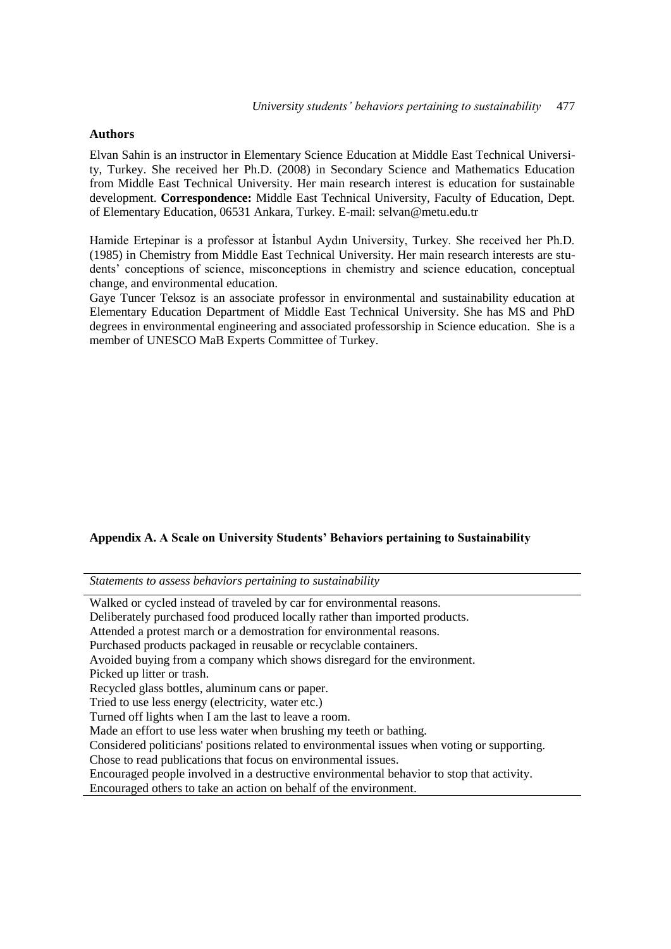## **Authors**

Elvan Sahin is an instructor in Elementary Science Education at Middle East Technical University, Turkey. She received her Ph.D. (2008) in Secondary Science and Mathematics Education from Middle East Technical University. Her main research interest is education for sustainable development. **Correspondence:** Middle East Technical University, Faculty of Education, Dept. of Elementary Education, 06531 Ankara, Turkey. E-mail: selvan@metu.edu.tr

Hamide Ertepinar is a professor at İstanbul Aydın University, Turkey. She received her Ph.D. (1985) in Chemistry from Middle East Technical University. Her main research interests are students' conceptions of science, misconceptions in chemistry and science education, conceptual change, and environmental education.

Gaye Tuncer Teksoz is an associate professor in environmental and sustainability education at Elementary Education Department of Middle East Technical University. She has MS and PhD degrees in environmental engineering and associated professorship in Science education. She is a member of UNESCO MaB Experts Committee of Turkey.

## **Appendix A. A Scale on University Students' Behaviors pertaining to Sustainability**

*Statements to assess behaviors pertaining to sustainability*

| Walked or cycled instead of traveled by car for environmental reasons.                       |
|----------------------------------------------------------------------------------------------|
| Deliberately purchased food produced locally rather than imported products.                  |
| Attended a protest march or a demostration for environmental reasons.                        |
| Purchased products packaged in reusable or recyclable containers.                            |
| Avoided buying from a company which shows disregard for the environment.                     |
| Picked up litter or trash.                                                                   |
| Recycled glass bottles, aluminum cans or paper.                                              |
| Tried to use less energy (electricity, water etc.)                                           |
| Turned off lights when I am the last to leave a room.                                        |
| Made an effort to use less water when brushing my teeth or bathing.                          |
| Considered politicians' positions related to environmental issues when voting or supporting. |
| Chose to read publications that focus on environmental issues.                               |
| Encouraged people involved in a destructive environmental behavior to stop that activity.    |
| Encouraged others to take an action on behalf of the environment.                            |
|                                                                                              |